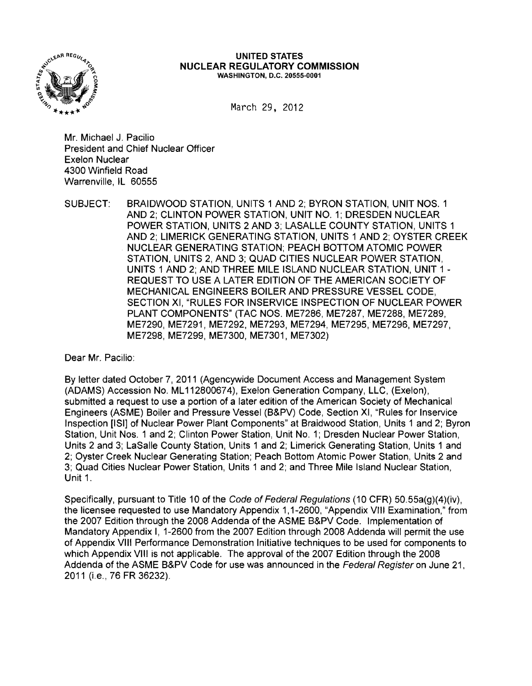

#### **UNITED STATES NUCLEAR REGULATORY COMMISSION** WASHINGTON, D.C. 20555-0001

March 29. 2012

Mr. Michael J. Pacilio President and Chief Nuclear Officer Exelon Nuclear 4300 Winfield Road Warrenville, IL 60555

SUBJECT: BRAIDWOOD STATION, UNITS 1 AND 2; BYRON STATION, UNIT NOS. 1 AND 2; CLINTON POWER STATION, UNIT NO.1; DRESDEN NUCLEAR POWER STATION, UNITS 2 AND 3; LASALLE COUNTY STATION, UNITS 1 AND 2; LIMERICK GENERATING STATION, UNITS 1 AND 2; OYSTER CREEK NUCLEAR GENERATING STATION; PEACH BOTTOM ATOMIC POWER STATION, UNITS 2, AND 3; QUAD CITIES NUCLEAR POWER STATION, UNITS 1 AND 2; AND THREE MILE ISLAND NUCLEAR STATION, UNIT 1 REQUEST TO USE A LATER EDITION OF THE AMERICAN SOCIETY OF MECHANICAL ENGINEERS BOILER AND PRESSURE VESSEL CODE, SECTION XI, "RULES FOR INSERVICE INSPECTION OF NUCLEAR POWER PLANT COMPONENTS" (TAC NOS. ME7286, ME7287, ME7288, ME7289, ME7290, ME7291, ME7292, ME7293, ME7294, ME7295, ME7296, ME7297, ME7298, ME7299, ME7300, ME7301, ME7302)

Dear Mr. Pacilio:

By letter dated October 7,2011 (Agencywide Document Access and Management System (ADAMS) Accession No. ML 112800674), Exelon Generation Company, LLC, (Exelon), submitted a request to use a portion of a later edition of the American Society of Mechanical Engineers (ASME) Boiler and Pressure Vessel (B&PV) Code, Section XI, "Rules for Inservice Inspection [ISIl of Nuclear Power Plant Components" at Braidwood Station, Units 1 and 2; Byron Station, Unit Nos. 1 and 2; Clinton Power Station, Unit No.1; Dresden Nuclear Power Station, Units 2 and 3; LaSalle County Station, Units 1 and 2; Limerick Generating Station, Units 1 and 2; Oyster Creek Nuclear Generating Station; Peach Bottom Atomic Power Station, Units 2 and 3; Quad Cities Nuclear Power Station, Units 1 and 2; and Three Mile Island Nuclear Station, Unit 1.

Specifically, pursuant to Title 10 of the Code of Federal Regulations (10 CFR) 50.55a(g)(4)(iv), the licensee requested to use Mandatory Appendix 1,1-2600, "Appendix VIII Examination," from the 2007 Edition through the 2008 Addenda of the ASME B&PV Code. Implementation of Mandatory Appendix I, 1-2600 from the 2007 Edition through 2008 Addenda will permit the use of Appendix VIII Performance Demonstration Initiative techniques to be used for components to which Appendix VIII is not applicable. The approval of the 2007 Edition through the 2008 Addenda of the ASME B&PV Code for use was announced in the Federal Register on June 21, 2011 (i.e., 76 FR 36232).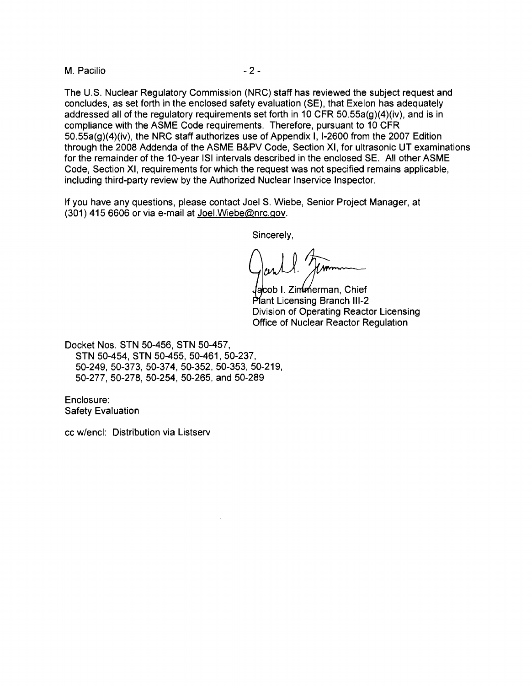M. Pacilio  $-2-$ 

The U.S. Nuclear Regulatory Commission (NRC) staff has reviewed the subject request and concludes, as set forth in the enclosed safety evaluation (SE), that Exelon has adequately addressed all of the regulatory requirements set forth in 10 CFR 50.55a(g)(4)(iv), and is in compliance with the ASME Code requirements. Therefore, pursuant to 10 CFR 50.55a(g)(4)(iv), the NRC staff authorizes use of Appendix I, 1-2600 from the 2007 Edition through the 2008 Addenda of the ASME B&PV Code, Section XI, for ultrasonic UT examinations for the remainder of the 10-year lSI intervals described in the enclosed SE. All other ASME Code, Section XI, requirements for which the request was not specified remains applicable, including third-party review by the Authorized Nuclear Inservice Inspector.

If you have any questions, please contact Joel S. Wiebe, Senior Project Manager, at (301) 415 6606 or via e-mail at JoeI,Wiebe@nrc.gov.

Sincerely,

lacob I. Zimmeerman, Chief Plant Licensing Branch III-2 Division of Operating Reactor Licensing Office of Nuclear Reactor Regulation

Docket Nos. STN 50-456, STN 50-457, STN 50-454, STN 50-455, 50-461, 50-237, 50-249, 50-373, 50-374, 50-352, 50-353, 50-219, 50-277, 50-278, 50-254, 50-265, and 50-289

Enclosure: Safety Evaluation

cc w/encl: Distribution via Listserv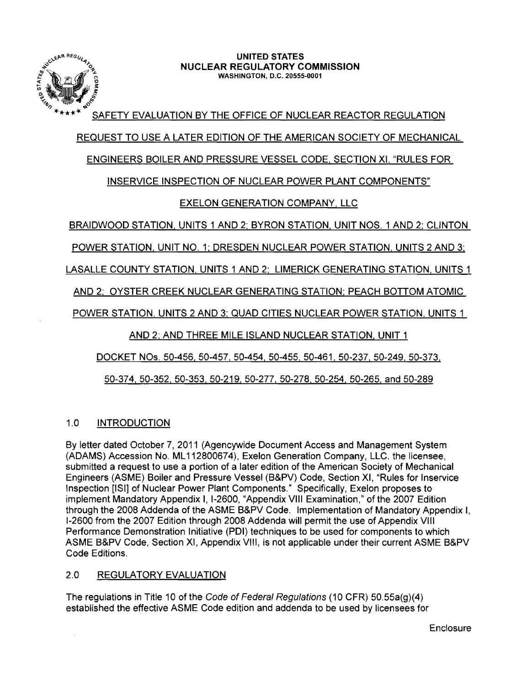

#### **UNITED** STATES **NUCLEAR REGULATORY COMMISSION** WASHINGTON, D.C. 20555-0001

SAFETY EVALUATION BY THE OFFICE OF NUCLEAR REACTOR REGULATION

REQUEST TO USE A LATER EDITION OF THE AMERICAN SOCIETY OF MECHANICAL

## ENGINEERS BOILER AND PRESSURE VESSEL CODE, SECTION XI, "RULES FOR

# INSERVICE INSPECTION OF NUCLEAR POWER PLANT COMPONENTS"

# EXELON GENERATION COMPANY. LLC

BRAIDWOOD STATION. UNITS 1 AND 2: BYRON STATION, UNIT NOS. 1 AND 2; CLINTON

POWER STATION. UNIT NO. 1: DRESDEN NUCLEAR POWER STATION. UNITS 2 AND 3;

LASALLE COUNTY STATION. UNITS 1 AND 2; LIMERICK GENERATING STATION, UNITS 1

AND 2: OYSTER CREEK NUCLEAR GENERATING STATION: PEACH BOTTOM ATOMIC

POWER STATION. UNITS 2 AND 3: QUAD CITIES NUCLEAR POWER STATION. UNITS 1

AND 2; AND THREE MILE ISLAND NUCLEAR STATION. UNIT 1

DOCKET NOs. 50-456.50-457, 50-454, 50-455. 50-461. 50-237, 50-249, 50-373,

50-374,50-352, 50-353,50-219.50-277, 50-278,50-254, 50-265, and 50-289

### 1.0 INTRODUCTION

By letter dated October 7,2011 (Agencywide Document Access and Management System (ADAMS) Accession No. ML 112800674), Exelon Generation Company, LLC. the licensee, submitted a request to use a portion of a later edition of the American Society of Mechanical Engineers (ASME) Boiler and Pressure Vessel (B&PV) Code, Section XI, "Rules for Inservice Inspection [lSI] of Nuclear Power Plant Components." Specifically, Exelon proposes to implement Mandatory Appendix I, 1-2600, "Appendix VIII Examination," of the 2007 Edition through the 2008 Addenda of the ASME B&PV Code. Implementation of Mandatory Appendix I, 1-2600 from the 2007 Edition through 2008 Addenda will permit the use of Appendix VIII Performance Demonstration Initiative (PDI) techniques to be used for components to which ASME B&PV Code, Section XI, Appendix VIII, is not applicable under their current ASME B&PV Code Editions.

# 2.0 REGULATORY EVALUATION

The regulations in Title 10 of the Code of Federal Regulations (10 CFR) 50.55a(g)(4) established the effective ASME Code edition and addenda to be used by licensees for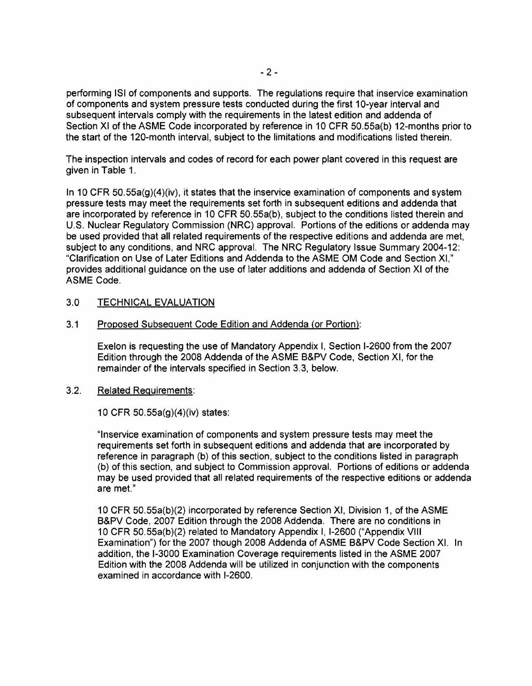performing lSI of components and supports. The regulations require that inservice examination of components and system pressure tests conducted during the first 1 O-year interval and subsequent intervals comply with the requirements in the latest edition and addenda of Section XI of the ASME Code incorporated by reference in 10 CFR 50.55a(b) 12-months prior to the start of the 120-month interval, subject to the limitations and modifications listed therein.

The inspection intervals and codes of record for each power plant covered in this request are given in Table 1.

In 10 CFR 50.55a(g)(4)(iv), it states that the inservice examination of components and system pressure tests may meet the requirements set forth in subsequent editions and addenda that are incorporated by reference in 10 CFR 50.55a(b), subject to the conditions listed therein and U.S. Nuclear Regulatory Commission (NRC) approval. Portions of the editions or addenda may be used provided that all related requirements of the respective editions and addenda are met, subject to any conditions, and NRC approval. The NRC Regulatory Issue Summary 2004-12: "Clarification on Use of Later Editions and Addenda to the ASME OM Code and Section XI," provides additional guidance on the use of later additions and addenda of Section XI of the ASME Code.

### 3.0 TECHNICAL EVALUATION

### 3.1 Proposed Subsequent Code Edition and Addenda (or Portion):

Exelon is requesting the use of Mandatory Appendix I, Section 1-2600 from the 2007 Edition through the 2008 Addenda of the ASME B&PV Code, Section XI, for the remainder of the intervals specified in Section 3.3, below.

### 3.2. Related Requirements:

10 CFR 50.55a(g)(4)(iv) states:

"Inservice examination of components and system pressure tests may meet the requirements set forth in subsequent editions and addenda that are incorporated by reference in paragraph (b) of this section, subject to the conditions listed in paragraph (b) of this section, and subject to Commission approval. Portions of editions or addenda may be used provided that all related requirements of the respective editions or addenda are met."

1 0 CFR 50.55a(b)(2) incorporated by reference Section XI, Division 1, of the ASME B&PV Code, 2007 Edition through the 2008 Addenda. There are no conditions in 10 CFR 50.55a(b)(2) related to Mandatory Appendix I, 1-2600 ("Appendix VIII Examination") for the 2007 though 2008 Addenda of ASME B&PV Code Section XI. In addition, the 1-3000 Examination Coverage requirements listed in the ASME 2007 Edition with the 2008 Addenda will be utilized in conjunction with the components examined in accordance with 1-2600.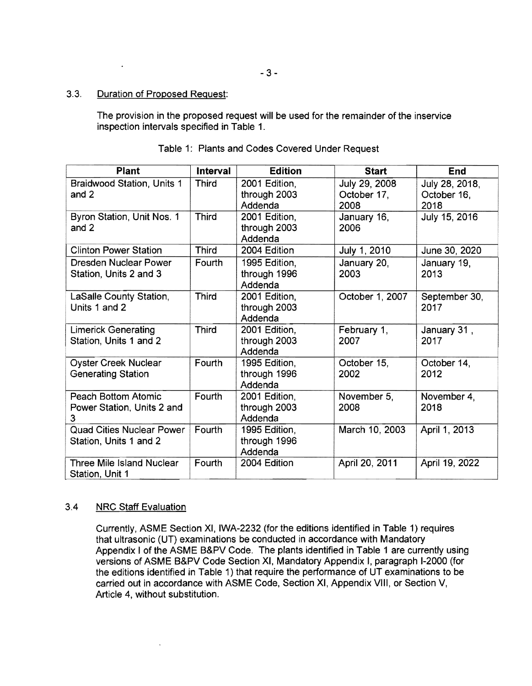#### 3.3. Duration of Proposed Request:

 $\star$ 

The provision in the proposed request will be used for the remainder of the inservice inspection intervals specified in Table 1.

| <b>Plant</b>                     | Interval     | <b>Edition</b> | <b>Start</b>    | End            |
|----------------------------------|--------------|----------------|-----------------|----------------|
| Braidwood Station, Units 1       | <b>Third</b> | 2001 Edition,  | July 29, 2008   | July 28, 2018, |
| and 2                            |              | through 2003   | October 17,     | October 16,    |
|                                  |              | Addenda        | 2008            | 2018           |
| Byron Station, Unit Nos. 1       | <b>Third</b> | 2001 Edition,  | January 16,     | July 15, 2016  |
| and 2                            |              | through 2003   | 2006            |                |
|                                  |              | Addenda        |                 |                |
| <b>Clinton Power Station</b>     | <b>Third</b> | 2004 Edition   | July 1, 2010    | June 30, 2020  |
| <b>Dresden Nuclear Power</b>     | Fourth       | 1995 Edition,  | January 20,     | January 19,    |
| Station, Units 2 and 3           |              | through 1996   | 2003            | 2013           |
|                                  |              | Addenda        |                 |                |
| LaSalle County Station,          | <b>Third</b> | 2001 Edition,  | October 1, 2007 | September 30,  |
| Units 1 and 2                    |              | through 2003   |                 | 2017           |
|                                  |              | Addenda        |                 |                |
| <b>Limerick Generating</b>       | <b>Third</b> | 2001 Edition,  | February 1,     | January 31,    |
| Station, Units 1 and 2           |              | through 2003   | 2007            | 2017           |
|                                  |              | Addenda        |                 |                |
| <b>Oyster Creek Nuclear</b>      | Fourth       | 1995 Edition,  | October 15,     | October 14,    |
| <b>Generating Station</b>        |              | through 1996   | 2002            | 2012           |
|                                  |              | Addenda        |                 |                |
| Peach Bottom Atomic              | Fourth       | 2001 Edition,  | November 5,     | November 4,    |
| Power Station, Units 2 and       |              | through 2003   | 2008            | 2018           |
| 3                                |              | Addenda        |                 |                |
| <b>Quad Cities Nuclear Power</b> | Fourth       | 1995 Edition,  | March 10, 2003  | April 1, 2013  |
| Station, Units 1 and 2           |              | through 1996   |                 |                |
|                                  |              | Addenda        |                 |                |
| <b>Three Mile Island Nuclear</b> | Fourth       | 2004 Edition   | April 20, 2011  | April 19, 2022 |
| Station, Unit 1                  |              |                |                 |                |

### Table 1: Plants and Codes Covered Under Request

### 3.4 NRC Staff Evaluation

Currently, ASME Section XI, IWA-2232 (for the editions identified in Table 1) requires that ultrasonic (UT) examinations be conducted in accordance with Mandatory Appendix I of the ASME B&PV Code. The plants identified in Table 1 are currently using versions of ASME B&PV Code Section XI, Mandatory Appendix I, paragraph 1-2000 (for the editions identified in Table 1) that require the performance of UT examinations to be carried out in accordance with ASME Code, Section XI, Appendix VIII, or Section V, Article 4, without substitution.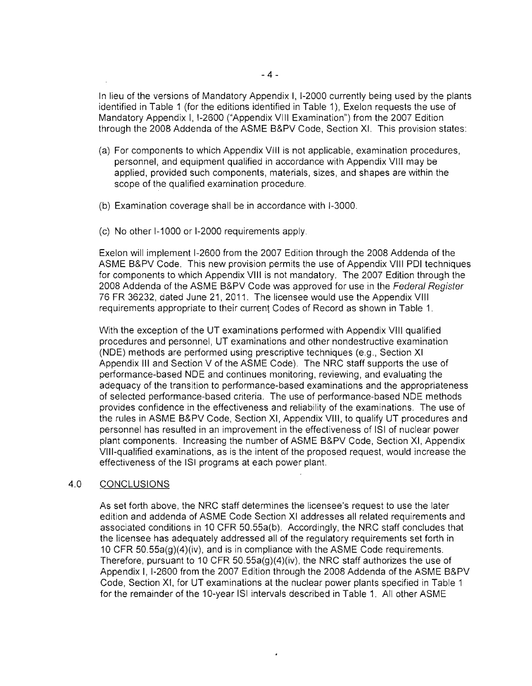In lieu of the versions of Mandatory Appendix I, 1-2000 currently being used by the plants identified in Table 1 (for the editions identified in Table 1), Exelon requests the use of Mandatory Appendix I, 1-2600 ("Appendix VIII Examination") from the 2007 Edition through the 2008 Addenda of the ASME B&PV Code, Section XI. This provision states:

- (a) For components to which Appendix VIII is not applicable, examination procedures, personnel, and equipment qualified in accordance with Appendix VIII may be applied, provided such components, materials, sizes, and shapes are within the scope of the qualified exarnination procedure.
- (b) Examination coverage shall be in accordance with 1-3000.
- (c) No other 1-1000 or 1-2000 requirements apply.

Exelon will implement 1-2600 from the 2007 Edition through the 2008 Addenda of the ASME B&PV Code. This new provision permits the use of Appendix VIII POI techniques for components to which Appendix VIII is not mandatory. The 2007 Edition through the 2008 Addenda of the ASME B&PV Code was approved for use in the Federal Register 76 FR 36232, dated June 21,2011. The licensee would use the Appendix VIII requirements appropriate to their current Codes of Record as shown in Table 1.

With the exception of the UT examinations performed with Appendix VIII qualified procedures and personnel, UT examinations and other nondestructive examination (NOE) methods are performed using prescriptive techniques (e.g., Section XI Appendix III and Section V of the ASME Code). The NRC staff supports the use of performance-based NOE and continues monitoring, reviewing, and evaluating the adequacy of the transition to performance-based examinations and the appropriateness of selected performance-based criteria. The use of performance-based NOE methods provides confidence in the effectiveness and reliability of the examinations. The use of the rules in ASME B&PV Code, Section XI, Appendix VIII, to qualify UT procedures and personnel has resulted in an improvement in the effectiveness of lSI of nuclear power plant components. Increasing the number of ASME B&PV Code, Section XI, Appendix VIII-qualified examinations, as is the intent of the proposed request, would increase the effectiveness of the lSI programs at each power plant.

### 4.0 CONCLUSIONS

As set forth above, the NRC staff determines the licensee's request to use the later edition and addenda of ASME Code Section XI addresses all related requirements and associated conditions in 10 CFR 50.55a(b). Accordingly, the NRC staff concludes that the licensee has adequately addressed all of the regulatory requirements set forth in 10 CFR 50.55a(g)(4)(iv), and is in compliance with the ASME Code requirements. Therefore, pursuant to 10 CFR 50.55a(g)(4)(iv), the NRC staff authorizes the use of Appendix I, I-2600 from the 2007 Edition through the 2008 Addenda of the ASME B&PV Code, Section XI, for UT examinations at the nuclear power plants specified in Table 1 for the remainder of the 10-year ISI intervals described in Table 1. All other ASME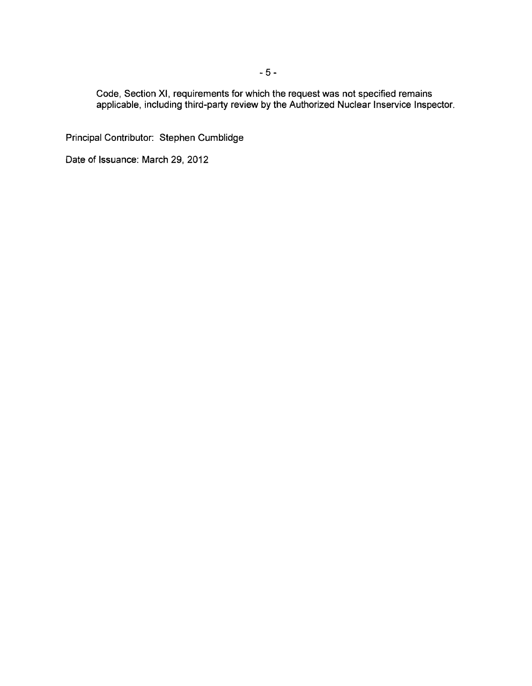Code, Section XI, requirements for which the request was not specified remains applicable, including third-party review by the Authorized Nuclear Inservice Inspector.

Principal Contributor: Stephen Cumblidge

Date of Issuance: March 29, 2012